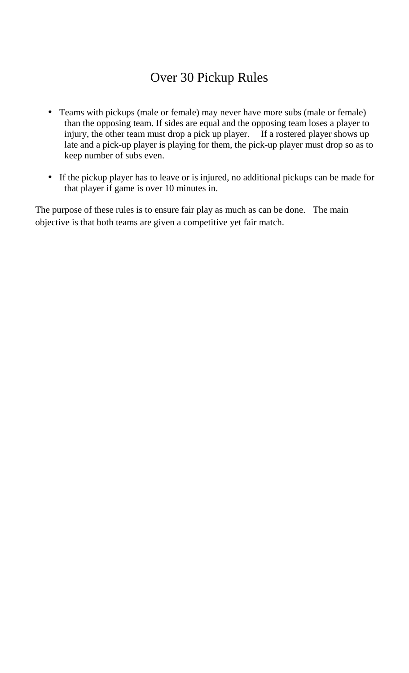## Over 30 Pickup Rules

- Teams with pickups (male or female) may never have more subs (male or female) than the opposing team. If sides are equal and the opposing team loses a player to injury, the other team must drop a pick up player. If a rostered player shows up late and a pick-up player is playing for them, the pick-up player must drop so as to keep number of subs even.
- If the pickup player has to leave or is injured, no additional pickups can be made for that player if game is over 10 minutes in.

The purpose of these rules is to ensure fair play as much as can be done. The main objective is that both teams are given a competitive yet fair match.